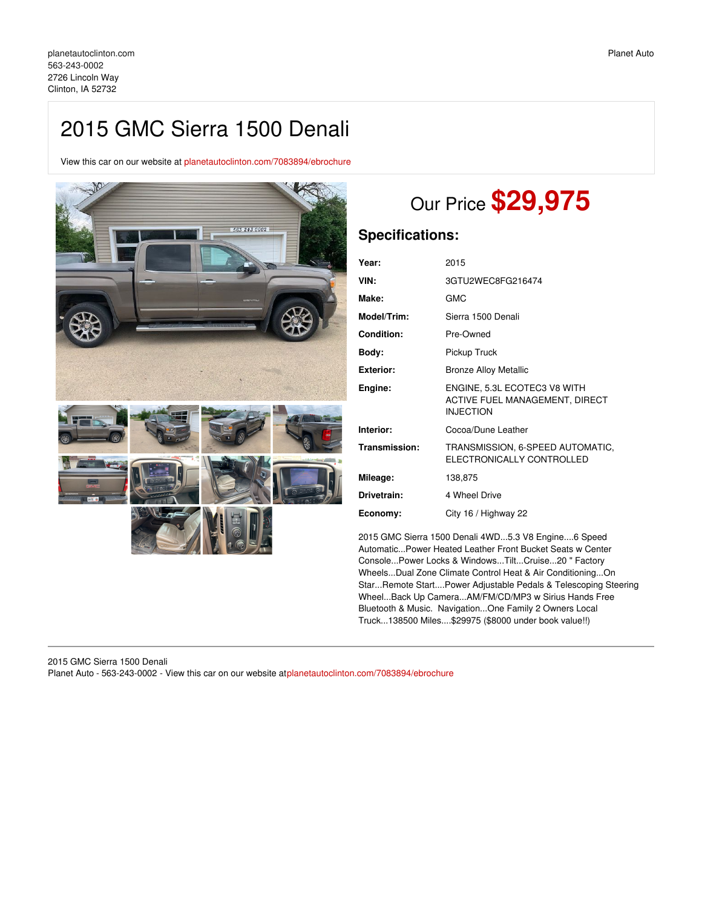## 2015 GMC Sierra 1500 Denali

View this car on our website at [planetautoclinton.com/7083894/ebrochure](https://planetautoclinton.com/vehicle/7083894/2015-gmc-sierra-1500-denali-clinton-ia-52732/7083894/ebrochure)



# Our Price **\$29,975**

## **Specifications:**

| Year:         | 2015                                                                               |
|---------------|------------------------------------------------------------------------------------|
| VIN:          | 3GTU2WEC8FG216474                                                                  |
| Make:         | <b>GMC</b>                                                                         |
| Model/Trim:   | Sierra 1500 Denali                                                                 |
| Condition:    | Pre-Owned                                                                          |
| Body:         | Pickup Truck                                                                       |
| Exterior:     | <b>Bronze Alloy Metallic</b>                                                       |
| Engine:       | ENGINE, 5.3L ECOTEC3 V8 WITH<br>ACTIVE FUEL MANAGEMENT, DIRECT<br><b>INJECTION</b> |
| Interior:     | Cocoa/Dune Leather                                                                 |
| Transmission: | TRANSMISSION, 6-SPEED AUTOMATIC,<br>ELECTRONICALLY CONTROLLED                      |
| Mileage:      | 138,875                                                                            |
| Drivetrain:   | 4 Wheel Drive                                                                      |
| Economy:      | City 16 / Highway 22                                                               |
|               |                                                                                    |

2015 GMC Sierra 1500 Denali 4WD...5.3 V8 Engine....6 Speed Automatic...Power Heated Leather Front Bucket Seats w Center Console...Power Locks & Windows...Tilt...Cruise...20 " Factory Wheels...Dual Zone Climate Control Heat & Air Conditioning...On Star...Remote Start....Power Adjustable Pedals & Telescoping Steering Wheel...Back Up Camera...AM/FM/CD/MP3 w Sirius Hands Free Bluetooth & Music. Navigation...One Family 2 Owners Local Truck...138500 Miles....\$29975 (\$8000 under book value!!)

2015 GMC Sierra 1500 Denali Planet Auto - 563-243-0002 - View this car on our website at[planetautoclinton.com/7083894/ebrochure](https://planetautoclinton.com/vehicle/7083894/2015-gmc-sierra-1500-denali-clinton-ia-52732/7083894/ebrochure)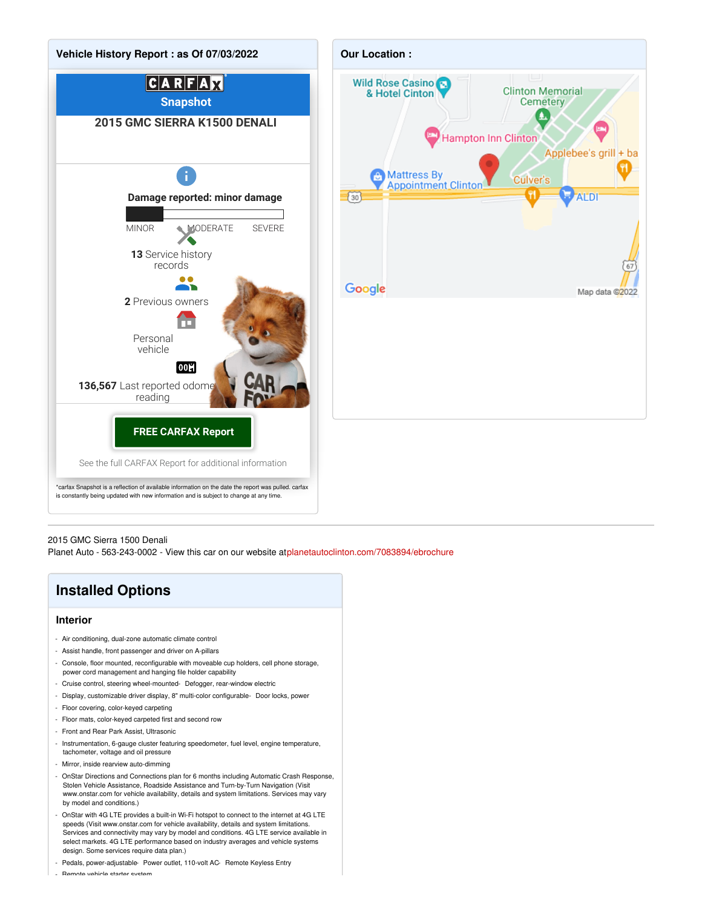

#### 2015 GMC Sierra 1500 Denali

Planet Auto - 563-243-0002 - View this car on our website at[planetautoclinton.com/7083894/ebrochure](https://planetautoclinton.com/vehicle/7083894/2015-gmc-sierra-1500-denali-clinton-ia-52732/7083894/ebrochure)

## **Installed Options**

#### **Interior**

- Air conditioning, dual-zone automatic climate control
- Assist handle, front passenger and driver on A-pillars
- Console, floor mounted, reconfigurable with moveable cup holders, cell phone storage, power cord management and hanging file holder capability
- Cruise control, steering wheel-mounted- Defogger, rear-window electric
- Display, customizable driver display, 8" multi-color configurable- Door locks, power
- Floor covering, color-keyed carpeting
- Floor mats, color-keyed carpeted first and second row
- Front and Rear Park Assist, Ultrasonic
- Instrumentation, 6-gauge cluster featuring speedometer, fuel level, engine temperature, tachometer, voltage and oil pressure
- Mirror, inside rearview auto-dimming
- OnStar Directions and Connections plan for 6 months including Automatic Crash Response, Stolen Vehicle Assistance, Roadside Assistance and Turn-by-Turn Navigation (Visit www.onstar.com for vehicle availability, details and system limitations. Services may vary by model and conditions.)
- OnStar with 4G LTE provides a built-in Wi-Fi hotspot to connect to the internet at 4G LTE speeds (Visit www.onstar.com for vehicle availability, details and system limitations. Services and connectivity may vary by model and conditions. 4G LTE service available in select markets. 4G LTE performance based on industry averages and vehicle systems design. Some services require data plan.)
- Pedals, power-adjustable- Power outlet, 110-volt AC- Remote Keyless Entry

- Remote vehicle starter system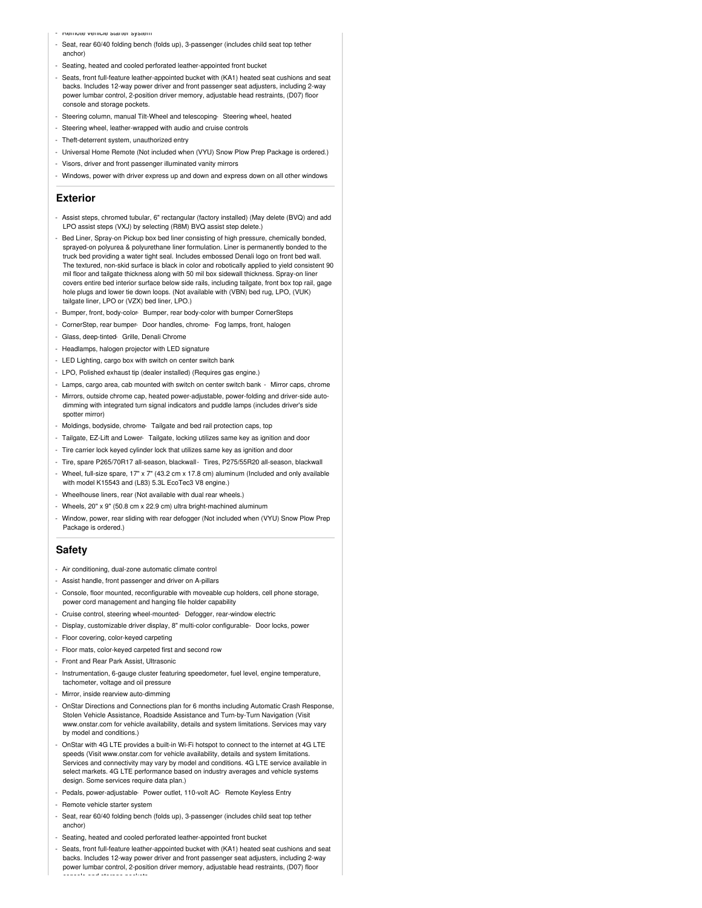- Remote vehicle starter system
- Seat, rear 60/40 folding bench (folds up), 3-passenger (includes child seat top tether anchor)
- Seating, heated and cooled perforated leather-appointed front bucket
- Seats, front full-feature leather-appointed bucket with (KA1) heated seat cushions and seat backs. Includes 12-way power driver and front passenger seat adjusters, including 2-way power lumbar control, 2-position driver memory, adjustable head restraints, (D07) floor console and storage pockets.
- Steering column, manual Tilt-Wheel and telescoping- Steering wheel, heated
- Steering wheel, leather-wrapped with audio and cruise controls
- Theft-deterrent system, unauthorized entry
- Universal Home Remote (Not included when (VYU) Snow Plow Prep Package is ordered.)
- Visors, driver and front passenger illuminated vanity mirrors
- Windows, power with driver express up and down and express down on all other windows

#### **Exterior**

- Assist steps, chromed tubular, 6" rectangular (factory installed) (May delete (BVQ) and add LPO assist steps (VXJ) by selecting (R8M) BVQ assist step delete.)
- Bed Liner, Spray-on Pickup box bed liner consisting of high pressure, chemically bonded, sprayed-on polyurea & polyurethane liner formulation. Liner is permanently bonded to the truck bed providing a water tight seal. Includes embossed Denali logo on front bed wall. The textured, non-skid surface is black in color and robotically applied to yield consistent 90 mil floor and tailgate thickness along with 50 mil box sidewall thickness. Spray-on liner covers entire bed interior surface below side rails, including tailgate, front box top rail, gage hole plugs and lower tie down loops. (Not available with (VBN) bed rug, LPO, (VUK) tailgate liner, LPO or (VZX) bed liner, LPO.)
- Bumper, front, body-color- Bumper, rear body-color with bumper CornerSteps
- CornerStep, rear bumper- Door handles, chrome- Fog lamps, front, halogen
- Glass, deep-tinted- Grille, Denali Chrome
- Headlamps, halogen projector with LED signature
- LED Lighting, cargo box with switch on center switch bank
- LPO, Polished exhaust tip (dealer installed) (Requires gas engine.)
- Lamps, cargo area, cab mounted with switch on center switch bank Mirror caps, chrome
- Mirrors, outside chrome cap, heated power-adjustable, power-folding and driver-side autodimming with integrated turn signal indicators and puddle lamps (includes driver's side spotter mirror)
- Moldings, bodyside, chrome- Tailgate and bed rail protection caps, top
- Tailgate, EZ-Lift and Lower- Tailgate, locking utilizes same key as ignition and door
- Tire carrier lock keyed cylinder lock that utilizes same key as ignition and door
- Tire, spare P265/70R17 all-season, blackwall- Tires, P275/55R20 all-season, blackwall
- Wheel, full-size spare, 17" x 7" (43.2 cm x 17.8 cm) aluminum (Included and only available with model K15543 and (L83) 5.3L EcoTec3 V8 engine.)
- Wheelhouse liners, rear (Not available with dual rear wheels.)
- Wheels, 20" x 9" (50.8 cm x 22.9 cm) ultra bright-machined aluminum
- Window, power, rear sliding with rear defogger (Not included when (VYU) Snow Plow Prep Package is ordered.)

#### **Safety**

- Air conditioning, dual-zone automatic climate control
- Assist handle, front passenger and driver on A-pillars
- Console, floor mounted, reconfigurable with moveable cup holders, cell phone storage, power cord management and hanging file holder capability
- Cruise control, steering wheel-mounted- Defogger, rear-window electric
- Display, customizable driver display, 8" multi-color configurable- Door locks, power
- Floor covering, color-keyed carpeting
- Floor mats, color-keyed carpeted first and second row
- Front and Rear Park Assist, Ultrasonic
- Instrumentation, 6-gauge cluster featuring speedometer, fuel level, engine temperature, tachometer, voltage and oil pressure
- Mirror, inside rearview auto-dimming
- OnStar Directions and Connections plan for 6 months including Automatic Crash Response, Stolen Vehicle Assistance, Roadside Assistance and Turn-by-Turn Navigation (Visit www.onstar.com for vehicle availability, details and system limitations. Services may vary by model and conditions.)
- OnStar with 4G LTE provides a built-in Wi-Fi hotspot to connect to the internet at 4G LTE speeds (Visit www.onstar.com for vehicle availability, details and system limitations. Services and connectivity may vary by model and conditions. 4G LTE service available in select markets. 4G LTE performance based on industry averages and vehicle systems design. Some services require data plan.)
- Pedals, power-adjustable- Power outlet, 110-volt AC- Remote Keyless Entry
- Remote vehicle starter system
- Seat, rear 60/40 folding bench (folds up), 3-passenger (includes child seat top tether anchor)
- Seating, heated and cooled perforated leather-appointed front bucket
- Seats, front full-feature leather-appointed bucket with (KA1) heated seat cushions and seat backs. Includes 12-way power driver and front passenger seat adjusters, including 2-way power lumbar control, 2-position driver memory, adjustable head restraints, (D07) floor console and storage pockets.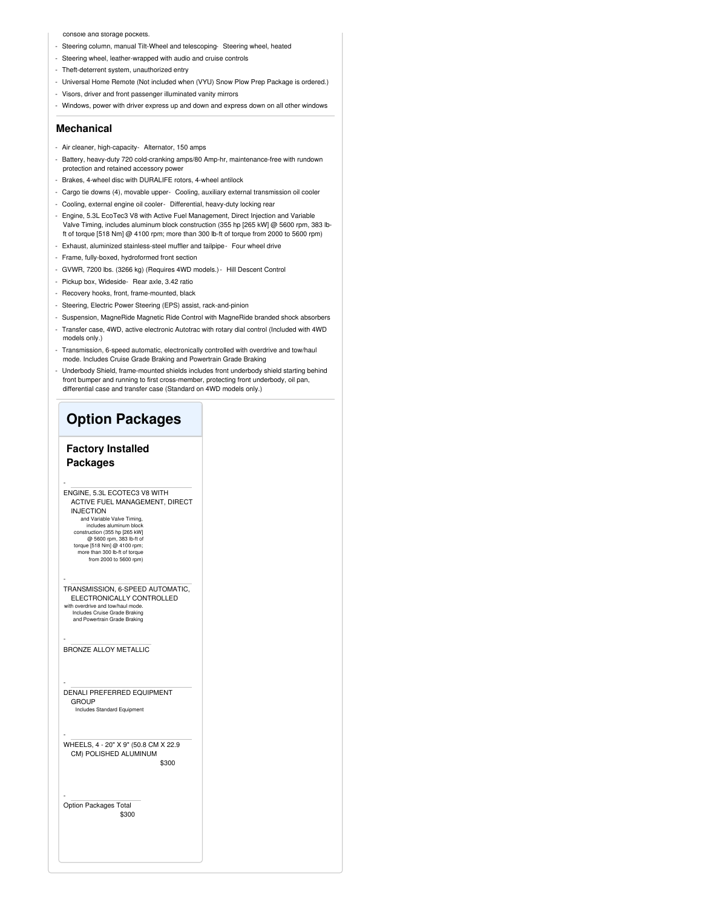#### console and storage pockets.

- Steering column, manual Tilt-Wheel and telescoping- Steering wheel, heated
- Steering wheel, leather-wrapped with audio and cruise controls
- Theft-deterrent system, unauthorized entry
- Universal Home Remote (Not included when (VYU) Snow Plow Prep Package is ordered.)
- Visors, driver and front passenger illuminated vanity mirrors
- Windows, power with driver express up and down and express down on all other windows

#### **Mechanical**

- Air cleaner, high-capacity- Alternator, 150 amps
- Battery, heavy-duty 720 cold-cranking amps/80 Amp-hr, maintenance-free with rundown protection and retained accessory power
- Brakes, 4-wheel disc with DURALIFE rotors, 4-wheel antilock
- Cargo tie downs (4), movable upper- Cooling, auxiliary external transmission oil cooler
- Cooling, external engine oil cooler- Differential, heavy-duty locking rear
- Engine, 5.3L EcoTec3 V8 with Active Fuel Management, Direct Injection and Variable Valve Timing, includes aluminum block construction (355 hp [265 kW] @ 5600 rpm, 383 lbft of torque [518 Nm] @ 4100 rpm; more than 300 lb-ft of torque from 2000 to 5600 rpm)
- Exhaust, aluminized stainless-steel muffler and tailpipe- Four wheel drive
- Frame, fully-boxed, hydroformed front section
- GVWR, 7200 lbs. (3266 kg) (Requires 4WD models.)- Hill Descent Control
- Pickup box, Wideside- Rear axle, 3.42 ratio
- Recovery hooks, front, frame-mounted, black
- Steering, Electric Power Steering (EPS) assist, rack-and-pinion
- Suspension, MagneRide Magnetic Ride Control with MagneRide branded shock absorbers
- Transfer case, 4WD, active electronic Autotrac with rotary dial control (Included with 4WD models only.)
- Transmission, 6-speed automatic, electronically controlled with overdrive and tow/haul mode. Includes Cruise Grade Braking and Powertrain Grade Braking
- Underbody Shield, frame-mounted shields includes front underbody shield starting behind front bumper and running to first cross-member, protecting front underbody, oil pan, differential case and transfer case (Standard on 4WD models only.)

### **Option Packages**

### **Factory Installed**

#### **Packages**

-

-

-

-

-

-

- ENGINE, 5.3L ECOTEC3 V8 WITH ACTIVE FUEL MANAGEMENT, DIRECT INJECTION
	- and Variable Valve Timing, includes aluminum block construction (355 hp [265 kW] @ 5600 rpm, 383 lb-ft of torque [518 Nm] @ 4100 rpm more than 300 lb-ft of torque from 2000 to 5600 rpm)
- TRANSMISSION, 6-SPEED AUTOMATIC, ELECTRONICALLY CONTROLLED with overdrive and tow/haul mode. Includes Cruise Grade Braking and Powertrain Grade Braking

#### BRONZE ALLOY METALLIC

DENALI PREFERRED EQUIPMENT GROUP Includes Standard Equipment

\$300 WHEELS, 4 - 20" X 9" (50.8 CM X 22.9 CM) POLISHED ALUMINUM

\$300 Option Packages Total